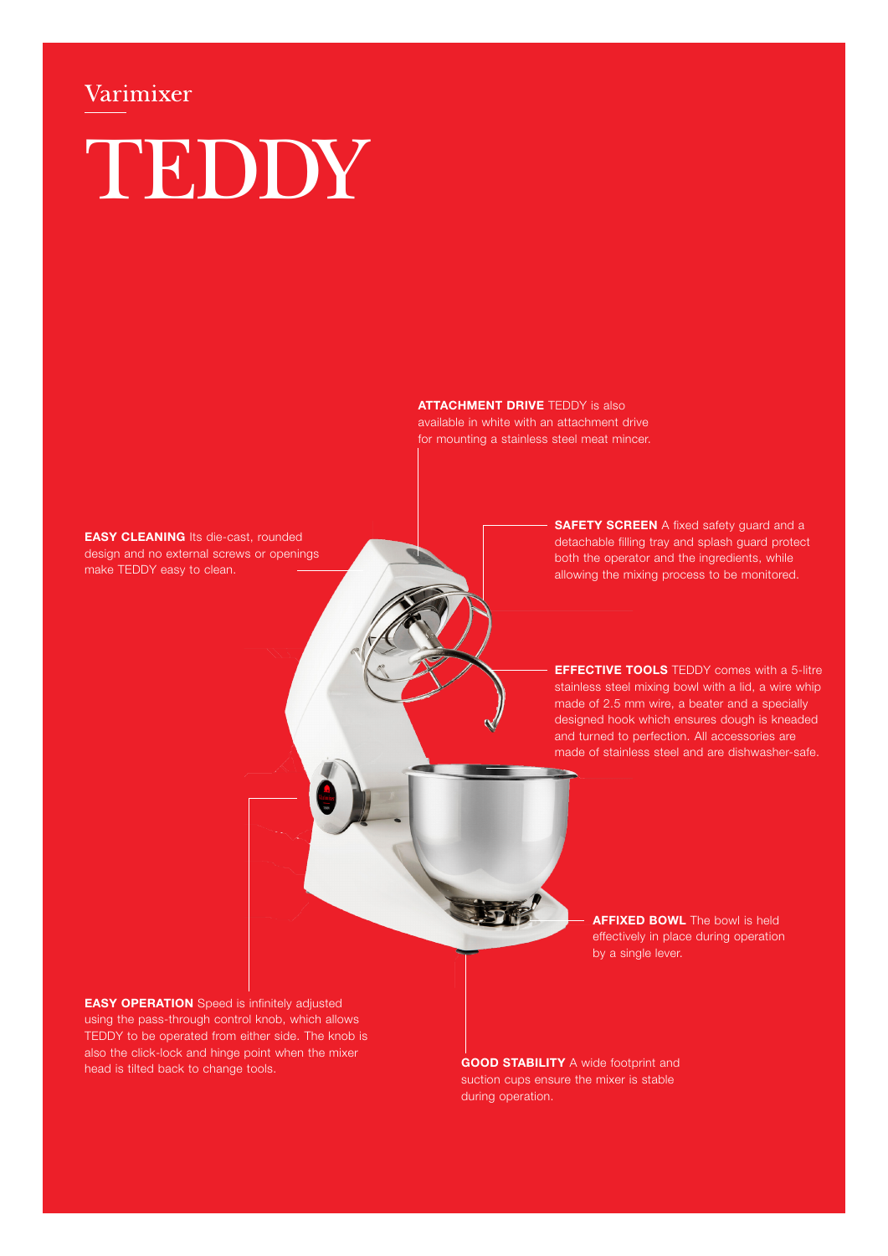# Varimixer TEDDY

**ATTACHMENT DRIVE** TEDDY is also available in white with an attachment drive for mounting a stainless steel meat mincer.

**EASY CLEANING Its die-cast, rounded** design and no external screws or openings make TEDDY easy to clean.

**SAFETY SCREEN** A fixed safety guard and a detachable filling tray and splash guard protect both the operator and the ingredients, while allowing the mixing process to be monitored.

**EFFECTIVE TOOLS** TEDDY comes with a 5-litre stainless steel mixing bowl with a lid, a wire whip made of 2.5 mm wire, a beater and a specially designed hook which ensures dough is kneaded and turned to perfection. All accessories are made of stainless steel and are dishwasher-safe.

> **AFFIXED BOWL** The bowl is held effectively in place during operation by a single lever.

**EASY OPERATION** Speed is infinitely adjusted using the pass-through control knob, which allows TEDDY to be operated from either side. The knob is also the click-lock and hinge point when the mixer head is tilted back to change tools.

**GOOD STABILITY** A wide footprint and suction cups ensure the mixer is stable during operation.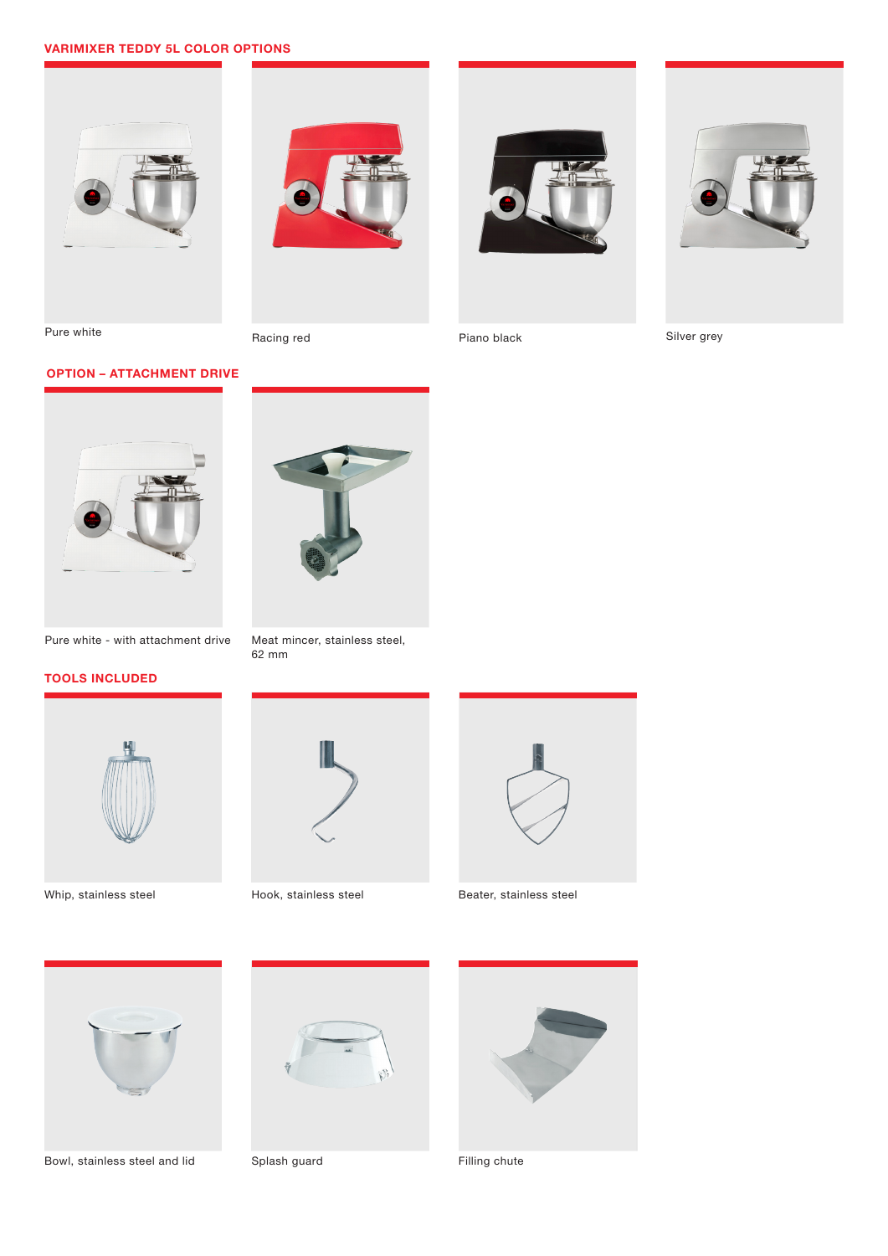# VARIMIXER TEDDY 5L COLOR OPTIONS









Silver grey

OPTION – ATTACHMENT DRIVE



Pure white - with attachment drive

# TOOLS INCLUDED





Meat mincer, stainless steel,

62 mm



Whip, stainless steel **Hook**, stainless steel **Beater**, stainless steel



Bowl, stainless steel and lid Splash guard Filling chute